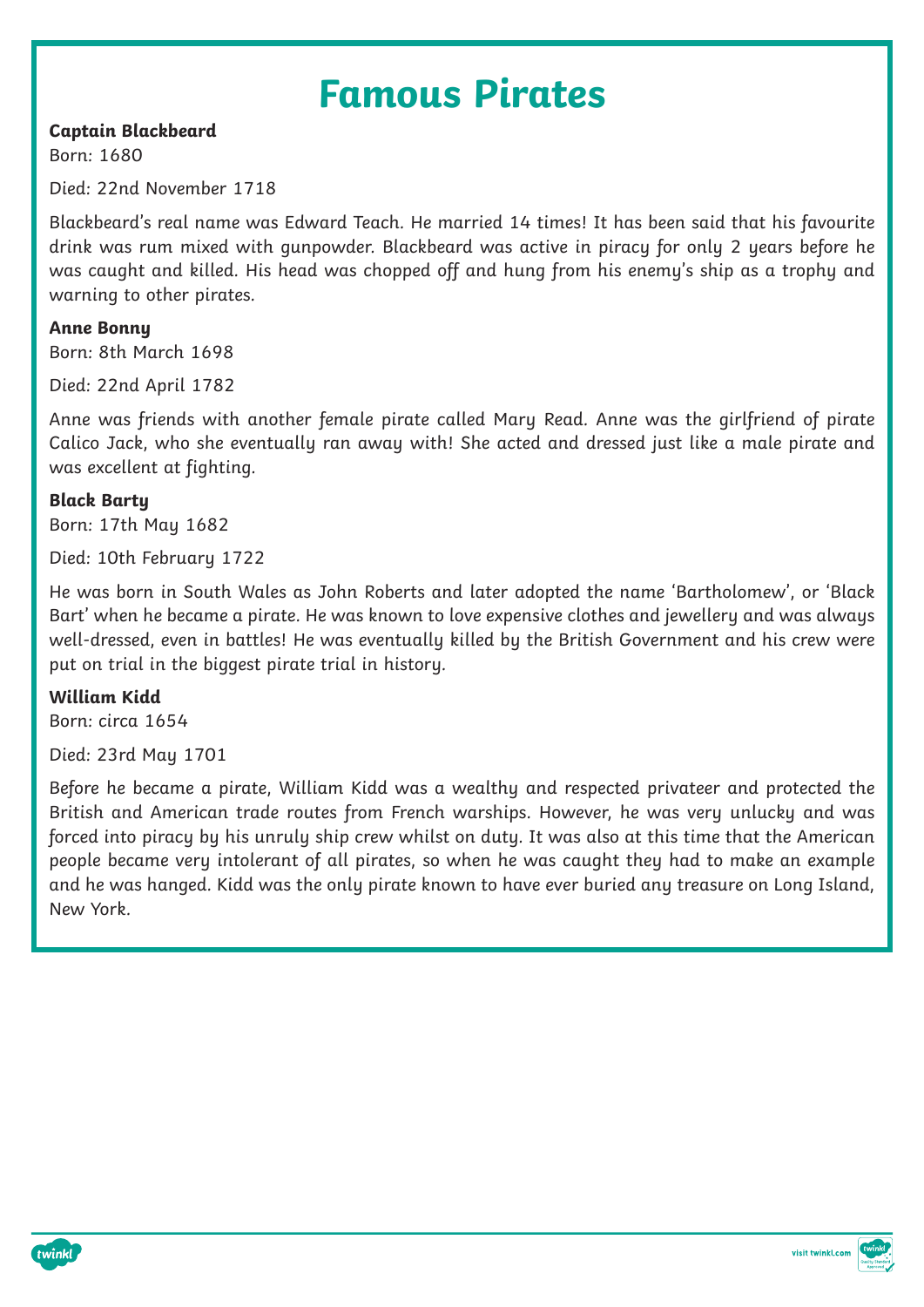## **Famous Pirates**

## **Captain Blackbeard**

Born: 1680

Died: 22nd November 1718

Blackbeard's real name was Edward Teach. He married 14 times! It has been said that his favourite drink was rum mixed with gunpowder. Blackbeard was active in piracy for only 2 years before he was caught and killed. His head was chopped off and hung from his enemy's ship as a trophy and warning to other pirates.

**Anne Bonny** Born: 8th March 1698

Died: 22nd April 1782

Anne was friends with another female pirate called Mary Read. Anne was the girlfriend of pirate Calico Jack, who she eventually ran away with! She acted and dressed just like a male pirate and was excellent at fighting.

**Black Barty** Born: 17th May 1682

Died: 10th February 1722

He was born in South Wales as John Roberts and later adopted the name 'Bartholomew', or 'Black Bart' when he became a pirate. He was known to love expensive clothes and jewellery and was always well-dressed, even in battles! He was eventually killed by the British Government and his crew were put on trial in the biggest pirate trial in history.

## **William Kidd**

Born: circa 1654

Died: 23rd May 1701

Before he became a pirate, William Kidd was a wealthy and respected privateer and protected the British and American trade routes from French warships. However, he was very unlucky and was forced into piracy by his unruly ship crew whilst on duty. It was also at this time that the American people became very intolerant of all pirates, so when he was caught they had to make an example and he was hanged. Kidd was the only pirate known to have ever buried any treasure on Long Island, New York.



visit twinkl.com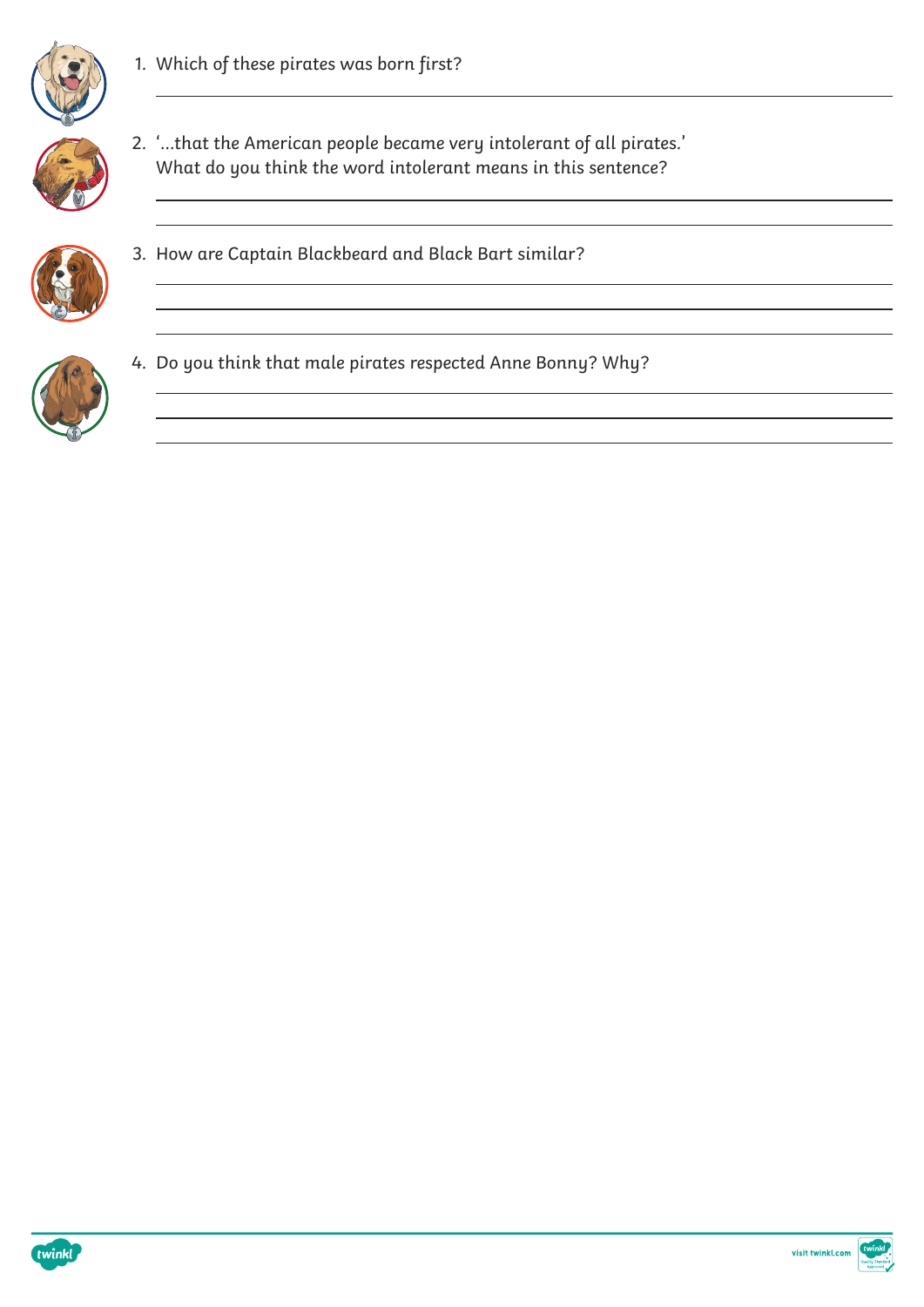

1. Which of these pirates was born first?



2. '...that the American people became very intolerant of all pirates.' What do you think the word intolerant means in this sentence?

<u> 1989 - Andrea Santa Alemania, amerikana amerikana amerikana amerikana amerikana amerikana amerikana amerikan</u>

<u> 1989 - Andrea Santa Andrea Santa Andrea Santa Andrea Santa Andrea Santa Andrea Santa Andrea Santa Andrea San</u>



3. How are Captain Blackbeard and Black Bart similar?



4. Do you think that male pirates respected Anne Bonny? Why?



visit twinkl.com